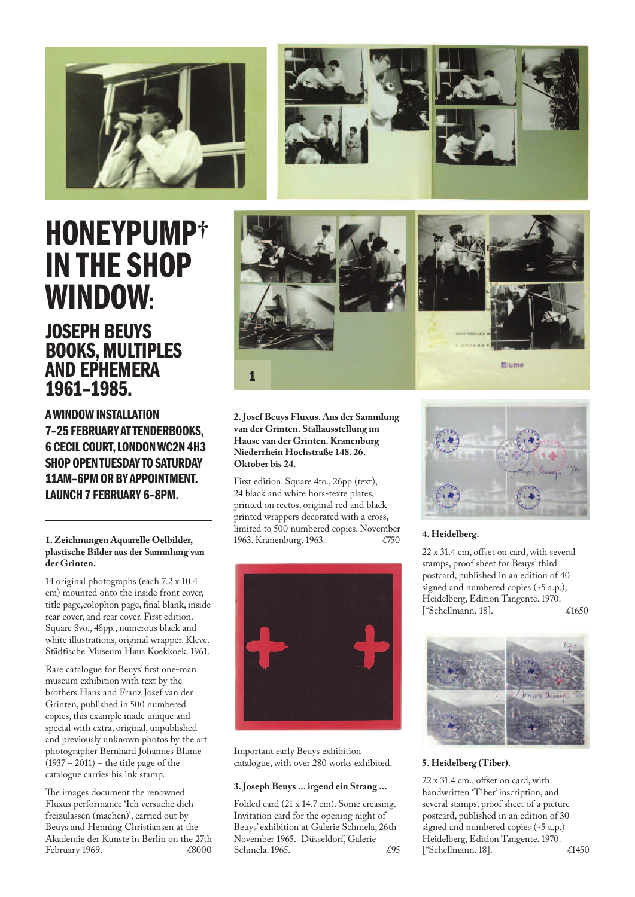



# **JOSEPH BEUYS BOOKS, MULTIPLES AND EPHEMERA 1961–1985.**

**AWINDOWINSTALLATION 7–25 FEBRUARYATTENDERBOOKS, 6 CECIL COURT,LONDONWC2N 4H3 SHOP OPENTUESDAYTO SATURDAY 11AM–6PMOR BYAPPOINTMENT. LAUNCH 7 FEBRUARY 6–8PM.**

#### **1. Zeichnungen Aquarelle Oelbilder, plastische Bilder aus der Sammlung van der Grinten.**

14 original photographs (each 7.2 x 10.4 cm) mounted onto the inside front cover, title page,colophon page, final blank, inside rear cover, and rear cover. First edition. Square 8vo., 48pp., numerous black and white illustrations, original wrapper. Kleve. Städtische Museum Haus Koekkoek.1961.

Rare catalogue for Beuys' first one-man museum exhibition with text by the brothers Hans and Franz Josef van der Grinten, published in 500 numbered copies, this example made unique and special with extra, original, unpublished and previously unknown photos by the art photographer Bernhard Johannes Blume  $(1937 – 2011)$  – the title page of the catalogue carries his ink stamp.

The images document the renowned Fluxus performance 'Ich versuche dich freizulassen (machen)', carried out by Beuys and Henning Christiansen at the Akademie der Kunste in Berlin on the 27th<br>February 1969 February 1969.



**2.Josef Beuys Fluxus. Aus der Sammlung van der Grinten. Stallausstellung im Hause van der Grinten. Kranenburg Niederrhein Hochstraße 148. 26. Oktober bis 24.**

First edition. Square 4to., 26pp (text), 24 black and white hors-texte plates, printed on rectos, original red and black printed wrappers decorated with a cross, limited to 500 numbered copies. November 1963. Kranenburg.1963. £750



Important early Beuys exhibition catalogue, with over 280 works exhibited.

# **3.Joseph Beuys ... irgend ein Strang ...**

Folded card (21 x 14.7 cm). Some creasing. Invitation card for the opening night of Beuys' exhibition at Galerie Schmela, 26th November 1965. Düsseldorf, Galerie Schmela. 1965. *£95* 



#### **4. Heidelberg.**

22 x 31.4 cm, offset on card, with several stamps, proof sheet for Beuys'third postcard, published in an edition of 40 signed and numbered copies (+5 a.p.), Heidelberg, Edition Tangente.1970. [\*Schellmann. 18]. £1650



#### **5. Heidelberg (Tiber).**

22 x 31.4 cm., offset on card, with handwritten 'Tiber' inscription, and several stamps, proof sheet of a picture postcard, published in an edition of 30 signed and numbered copies (+5 a.p.) Heidelberg, Edition Tangente.1970.  $[$ <sup>\*</sup>Schellmann. 18].  $\epsilon$ 1450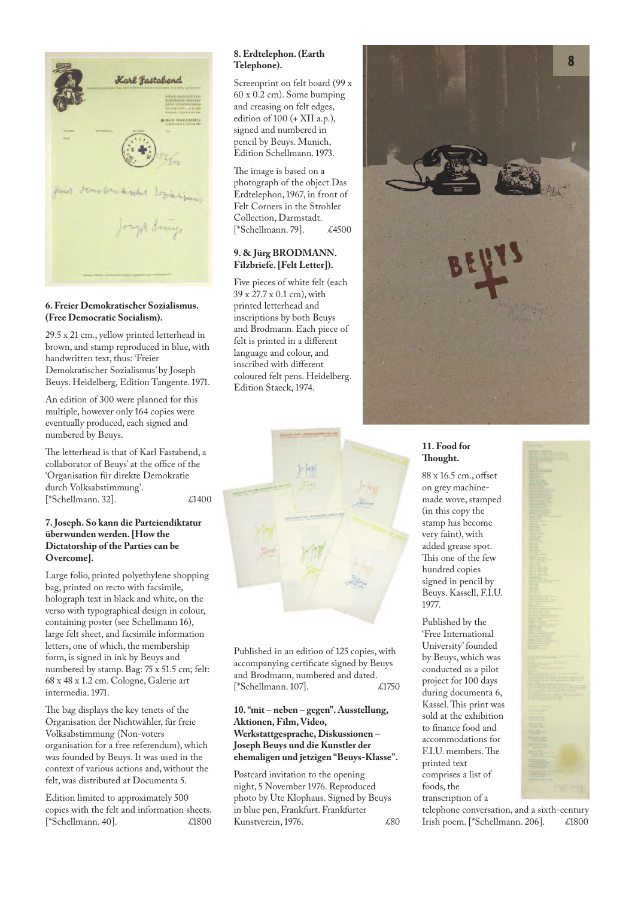

#### **6. Freier Demokratischer Sozialismus. (Free Democratic Socialism).**

29.5 x 21 cm., yellow printed letterhead in brown, and stamp reproduced in blue, with handwritten text, thus: 'Freier Demokratischer Sozialismus' by Joseph Beuys. Heidelberg, Edition Tangente.1971.

An edition of 300 were planned for this multiple, however only 164 copies were eventually produced, each signed and numbered by Beuys.

The letterhead is that of Karl Fastabend, a collaborator of Beuys' at the office of the 'Organisation für direkte Demokratie durch Volksabstimmung'.  $[$ <sup>\*</sup>Schellmann. 32].  $\pounds$ 1400

### **7.Joseph. So kann die Parteiendiktatur überwunden werden.[How the Dictatorship of the Parties can be Overcome].**

Large folio, printed polyethylene shopping bag, printed on recto with facsimile, holograph text in black and white, on the verso with typographical design in colour, containing poster (see Schellmann 16), large felt sheet, and facsimile information letters, one of which, the membership form, is signed in ink by Beuys and numbered by stamp. Bag: 75 x 51.5 cm; felt: 68 x 48 x 1.2 cm. Cologne, Galerie art intermedia.1971.

The bag displays the key tenets of the Organisation der Nichtwähler, für freie Volksabstimmung (Non-voters organisation for a free referendum), which was founded by Beuys.It was used in the context of various actions and, without the felt, was distributed at Documenta 5.

Edition limited to approximately 500 copies with the felt and information sheets. [\*Schellmann. 40]. £1800

# **8.Erdtelephon. (Earth Telephone).**

Screenprint on felt board (99 x 60 x 0.2 cm). Some bumping and creasing on felt edges, edition of 100 (+ XII a.p.), signed and numbered in pencil by Beuys. Munich, Edition Schellmann.1973.

The image is based on a photograph of the object Das Erdtelephon,1967, in front of Felt Corners in the Strohler Collection, Darmstadt.  $[^*Schellmann. 79]$ . £4500

## **9. & Jürg BRODMANN. Filzbriefe.[Felt Letter]).**

Five pieces of white felt (each 39 x 27.7 x 0.1 cm), with printed letterhead and inscriptions by both Beuys and Brodmann. Each piece of felt is printed in a different language and colour, and inscribed with different coloured felt pens. Heidelberg. Edition Staeck,1974.





Published in an edition of 125 copies, with accompanying certificate signed by Beuys and Brodmann, numbered and dated. [\*Schellmann.107]. £1750

### **10. "mit – neben – gegen". Ausstellung, Aktionen, Film,Video, Werkstattgesprache, Diskussionen – Joseph Beuys und die Kunstler der ehemaligen und jetzigen "Beuys-Klasse".**

Postcard invitation to the opening night, 5 November 1976. Reproduced photo by Ute Klophaus. Signed by Beuys in blue pen, Frankfurt. Frankfurter Kunstverein, 1976.  $\epsilon$ 80

# **11. Food for ought.**

88 x 16.5 cm., offset on grey machinemade wove, stamped (in this copy the stamp has become very faint), with added grease spot. This one of the few hundred copies signed in pencil by Beuys. Kassell, F.I.U. 1977.

Published by the 'Free International University'founded by Beuys, which was conducted as a pilot project for 100 days during documenta 6, Kassel. This print was sold at the exhibition to finance food and accommodations for F.I.U. members. The printed text comprises a list of foods, the transcription of a

telephone conversation, and a sixth-century Irish poem. [\*Schellmann. 206]. £1800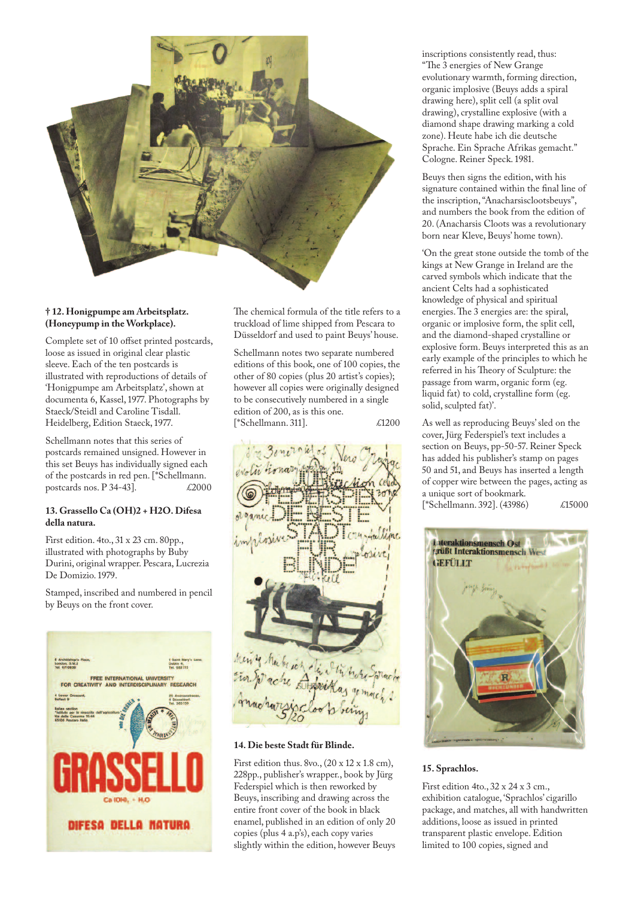

## **† 12. Honigpumpe am Arbeitsplatz. (Honeypump in the Workplace).**

Complete set of 10 offset printed postcards, loose as issued in original clear plastic sleeve. Each of the ten postcards is illustrated with reproductions of details of 'Honigpumpe am Arbeitsplatz', shown at documenta 6, Kassel,1977. Photographs by Staeck/Steidl and Caroline Tisdall. Heidelberg, Edition Staeck,1977.

Schellmann notes that this series of postcards remained unsigned. However in this set Beuys has individually signed each of the postcards in red pen. [\*Schellmann.<br>postcards nos. P 34-43].  $\angle 2000$ postcards nos.  $P$  34-43].

#### **13. Grassello Ca (OH)2 + H2O. Difesa della natura.**

First edition. 4to., 31 x 23 cm. 80pp., illustrated with photographs by Buby Durini, original wrapper. Pescara, Lucrezia De Domizio.1979.

Stamped, inscribed and numbered in pencil by Beuys on the front cover.



The chemical formula of the title refers to a truckload of lime shipped from Pescara to Düsseldorf and used to paint Beuys' house.

Schellmann notes two separate numbered editions of this book, one of 100 copies, the other of 80 copies (plus 20 artist's copies); however all copies were originally designed to be consecutively numbered in a single edition of 200, as is this one. [\*Schellmann. 311]. £1200



# **14. Die beste Stadt für Blinde.**

First edition thus. 8vo., (20 x 12 x 1.8 cm), 228pp., publisher's wrapper., book by Jürg Federspiel which is then reworked by Beuys, inscribing and drawing across the entire front cover of the book in black enamel, published in an edition of only 20 copies (plus 4 a.p's), each copy varies slightly within the edition, however Beuys

inscriptions consistently read, thus: "The 3 energies of New Grange evolutionary warmth, forming direction, organic implosive (Beuys adds a spiral drawing here), split cell (a split oval drawing), crystalline explosive (with a diamond shape drawing marking a cold zone). Heute habe ich die deutsche Sprache. Ein Sprache Afrikas gemacht." Cologne. Reiner Speck.1981.

Beuys then signs the edition, with his signature contained within the final line of the inscription,"Anacharsisclootsbeuys", and numbers the book from the edition of 20. (Anacharsis Cloots was a revolutionary born near Kleve, Beuys' home town).

'On the great stone outside the tomb of the kings at New Grange in Ireland are the carved symbols which indicate that the ancient Celts had a sophisticated knowledge of physical and spiritual energies. The 3 energies are: the spiral, organic or implosive form, the split cell, and the diamond-shaped crystalline or explosive form. Beuys interpreted this as an early example of the principles to which he referred in his Theory of Sculpture: the passage from warm, organic form (eg. liquid fat) to cold, crystalline form (eg. solid, sculpted fat)'.

As well as reproducing Beuys'sled on the cover, Jürg Federspiel's text includes a section on Beuys, pp-50-57. Reiner Speck has added his publisher's stamp on pages 50 and 51, and Beuys has inserted a length of copper wire between the pages, acting as a unique sort of bookmark. [\*Schellmann. 392]. (43986) £15000

1 iteraktionsmensch Ost<br>früßt Interaktionsmensch Wes **GEFÜLLT** 

# **15. Sprachlos.**

First edition 4to., 32 x 24 x 3 cm., exhibition catalogue, 'Sprachlos' cigarillo package, and matches, all with handwritten additions, loose as issued in printed transparent plastic envelope. Edition limited to 100 copies, signed and